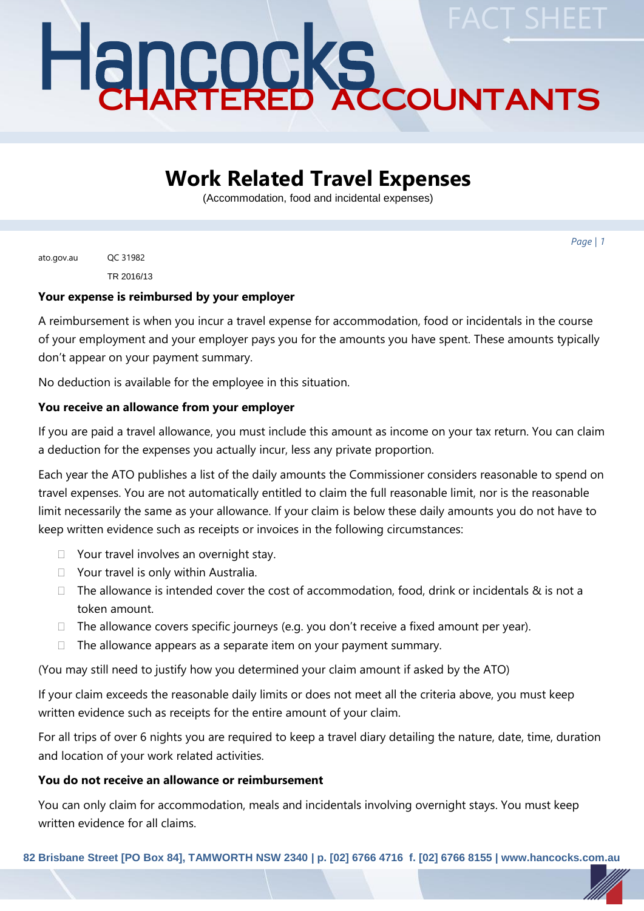# Hancocks CHARTERED ACCOUNTANTS **FACT SHEET**

## **Work Related Travel Expenses**

(Accommodation, food and incidental expenses)

*Page | 1*

ato.gov.au QC 31982 TR 2016/13

#### **Your expense is reimbursed by your employer**

A reimbursement is when you incur a travel expense for accommodation, food or incidentals in the course of your employment and your employer pays you for the amounts you have spent. These amounts typically don't appear on your payment summary.

No deduction is available for the employee in this situation.

#### **You receive an allowance from your employer**

If you are paid a travel allowance, you must include this amount as income on your tax return. You can claim a deduction for the expenses you actually incur, less any private proportion.

Each year the ATO publishes a list of the daily amounts the Commissioner considers reasonable to spend on travel expenses. You are not automatically entitled to claim the full reasonable limit, nor is the reasonable limit necessarily the same as your allowance. If your claim is below these daily amounts you do not have to keep written evidence such as receipts or invoices in the following circumstances:

- □ Your travel involves an overnight stay.
- □ Your travel is only within Australia.
- $\Box$  The allowance is intended cover the cost of accommodation, food, drink or incidentals & is not a token amount.
- $\Box$  The allowance covers specific journeys (e.g. you don't receive a fixed amount per year).
- $\Box$  The allowance appears as a separate item on your payment summary.

(You may still need to justify how you determined your claim amount if asked by the ATO)

If your claim exceeds the reasonable daily limits or does not meet all the criteria above, you must keep written evidence such as receipts for the entire amount of your claim.

For all trips of over 6 nights you are required to keep a travel diary detailing the nature, date, time, duration and location of your work related activities.

#### **You do not receive an allowance or reimbursement**

You can only claim for accommodation, meals and incidentals involving overnight stays. You must keep written evidence for all claims.

**82 Brisbane Street [PO Box 84], TAMWORTH NSW 2340 | p. [02] 6766 4716 f. [02] 6766 8155 | www.hancocks.com.au**